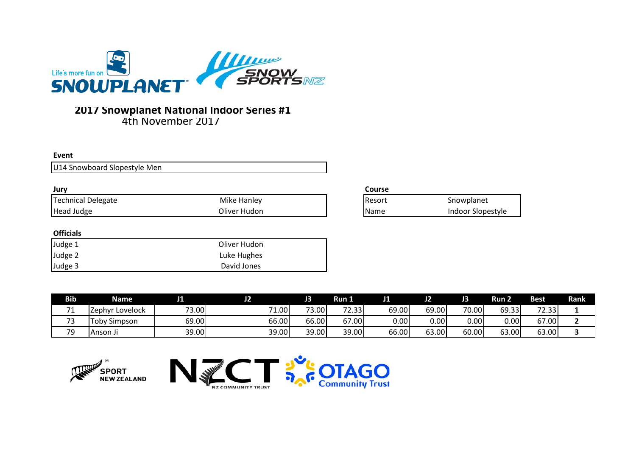

## 4th November 2017 **2017 Snowplanet National Indoor Series #1**

#### **Event**

U14 Snowboard Slopestyle Men

| Jurv               |              | <b>Course</b> |
|--------------------|--------------|---------------|
| Technical Delegate | Mike Hanley  | Resort        |
| Head Judge         | Oliver Hudon | Name          |

## **Officials**

| Judge 1 | Oliver Hudon |
|---------|--------------|
| Judge 2 | Luke Hughes  |
| Judge 3 | David Jones  |

| Resort | Snowplanet        |
|--------|-------------------|
| Name   | Indoor Slopestyle |

| <b>Bib</b>                           | <b>Name</b>         | .     |                                  | J3    | Run 1                            | J1    | ـ د   | ю     | Run 2 | <b>Best</b> | Rank |
|--------------------------------------|---------------------|-------|----------------------------------|-------|----------------------------------|-------|-------|-------|-------|-------------|------|
| $\overline{\phantom{a}}$<br><u>д</u> | IZephyr Lovelock    | 73.00 | $\overline{\phantom{a}}$<br>1.00 | 73.00 | 2.33<br>$\overline{\phantom{a}}$ | 69.00 | 69.00 | 70.00 | 69.33 | 72.33       |      |
| $\overline{\phantom{a}}$             | <b>Toby Simpson</b> | 69.00 | 66.00                            | 66.00 | 67.00                            | 0.00  | 0.001 | 0.00  | ا00.ر | 67.00       |      |
| 79                                   | l Anson Ji          | 39.00 | 39.00                            | 39.00 | 39.00                            | 66.00 | 63.00 | 60.00 | 63.00 | 63.00       |      |



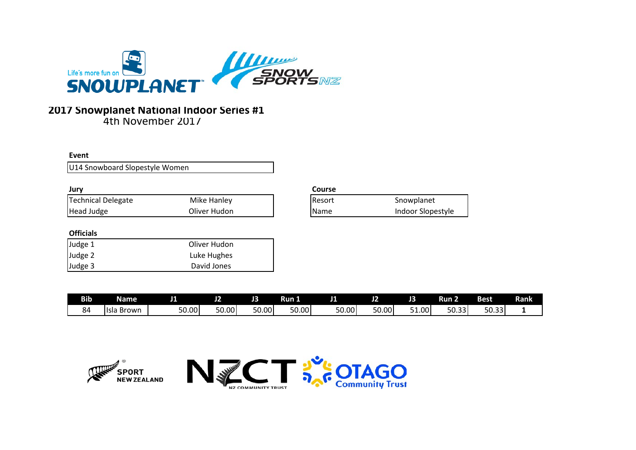

## **2017 Snowplanet National Indoor Series #1**

4th November 2017

**Event**

U14 Snowboard Slopestyle Women

| Jury                        |              | Course |                   |
|-----------------------------|--------------|--------|-------------------|
| <b>Technical Delegate</b>   | Mike Hanley  | Resort | Snowplanet        |
| <b>Head Judge</b>           | Oliver Hudon | Name   | Indoor Slopestyle |
| <b>Officials</b><br>Judge 1 | Oliver Hudon |        |                   |
| Judge 2                     | Luke Hughes  |        |                   |
| Judge 3                     | David Jones  |        |                   |

| <b>Bib</b> | <b>Name</b>    | . .           | ے ر   | J3    | Run 1 | . .   | .     | J3     | -<br>Run 2                                       | Best                   | Rank |
|------------|----------------|---------------|-------|-------|-------|-------|-------|--------|--------------------------------------------------|------------------------|------|
| 84         | -Isla<br>Brown | r o<br>ا00.0د | 50.00 | 50.00 | 50.00 | 50.00 | 50.00 | ا1.00د | $\Gamma$ <sup><math>\Omega</math></sup><br>50.33 | - -<br>$\sim$<br>JU.JJ |      |



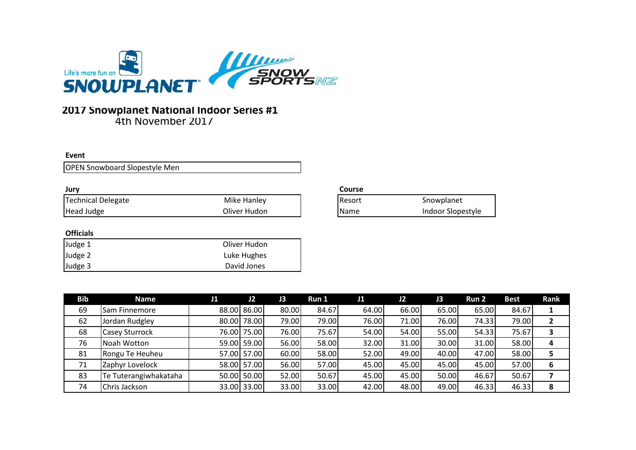

## **2017 Snowplanet National Indoor Series #1**

4th November 2017

## **Event**

OPEN Snowboard Slopestyle Men

| Jury                      |              |
|---------------------------|--------------|
| <b>Technical Delegate</b> | Mike Hanley  |
| Head Judge                | Oliver Hudon |

## **Officials**

| Judge 1 | Oliver Hudon |
|---------|--------------|
| Judge 2 | Luke Hughes  |
| Judge 3 | David Jones  |

| Resort | Snowplanet        |
|--------|-------------------|
| Name   | Indoor Slopestyle |

| <b>Bib</b> | Name                  | J1 | J2          | J3    | Run 1 | J1    | J2    | J3    | Run 2 | <b>Best</b> | <b>Rank</b> |
|------------|-----------------------|----|-------------|-------|-------|-------|-------|-------|-------|-------------|-------------|
| 69         | <b>Sam Finnemore</b>  |    | 88.00 86.00 | 80.00 | 84.67 | 64.00 | 66.00 | 65.00 | 65.00 | 84.67       |             |
| 62         | Jordan Rudgley        |    | 80.00 78.00 | 79.00 | 79.00 | 76.00 | 71.00 | 76.00 | 74.33 | 79.00       |             |
| 68         | <b>Casey Sturrock</b> |    | 76.00 75.00 | 76.00 | 75.67 | 54.00 | 54.00 | 55.00 | 54.33 | 75.67       |             |
| 76         | Noah Wotton           |    | 59.00 59.00 | 56.00 | 58.00 | 32.00 | 31.00 | 30.00 | 31.00 | 58.00       |             |
| 81         | Rongu Te Heuheu       |    | 57.00 57.00 | 60.00 | 58.00 | 52.00 | 49.00 | 40.00 | 47.00 | 58.00       |             |
| 71         | Zaphyr Lovelock       |    | 58.00 57.00 | 56.00 | 57.00 | 45.00 | 45.00 | 45.00 | 45.00 | 57.00       | 6           |
| 83         | Te Tuterangiwhakataha |    | 50.00 50.00 | 52.00 | 50.67 | 45.00 | 45.00 | 50.00 | 46.67 | 50.67       |             |
| 74         | Chris Jackson         |    | 33.00 33.00 | 33.00 | 33.00 | 42.00 | 48.00 | 49.00 | 46.33 | 46.33       | 8           |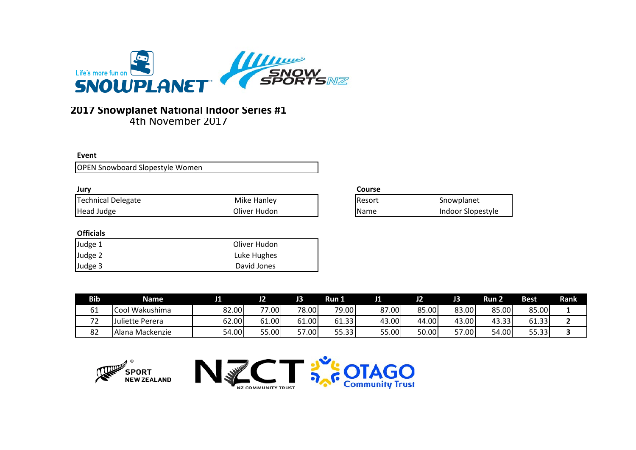

# **2017 Snowplanet National Indoor Series #1**

4th November 2017

#### **Event**

OPEN Snowboard Slopestyle Women

| Jury               |              | Cours |
|--------------------|--------------|-------|
| Technical Delegate | Mike Hanley  | Resor |
| Head Judge         | Oliver Hudon | Name  |

## **Officials**

| Judge 1 | Oliver Hudon |
|---------|--------------|
| Judge 2 | Luke Hughes  |
| Judge 3 | David Jones  |

| Resort | Snowplanet        |
|--------|-------------------|
| Name   | Indoor Slopestyle |

| <b>Bib</b>                           | Name             |       | J2    |       | <b>Run L</b> |       | J2    |       | Run 2 | <b>Best</b> | Rank |
|--------------------------------------|------------------|-------|-------|-------|--------------|-------|-------|-------|-------|-------------|------|
| 61                                   | Cool Wakushima   | 82.00 | 77.00 | 78.00 | 79.00        | 87.00 | 85.00 | 83.00 | 85.00 | 85.00       |      |
| $\overline{\phantom{a}}$<br><u>_</u> | Juliette Perera  | 62.00 | 61.00 | 61.00 | 61.33        | 43.00 | 44.00 | 43.00 | 43.33 | 61.33       |      |
| 82                                   | IAlana Mackenzie | 54.00 | 55.00 | 57.00 | 55.33        | 55.00 | 50.00 | 57.00 | 54.00 | 55.33       |      |



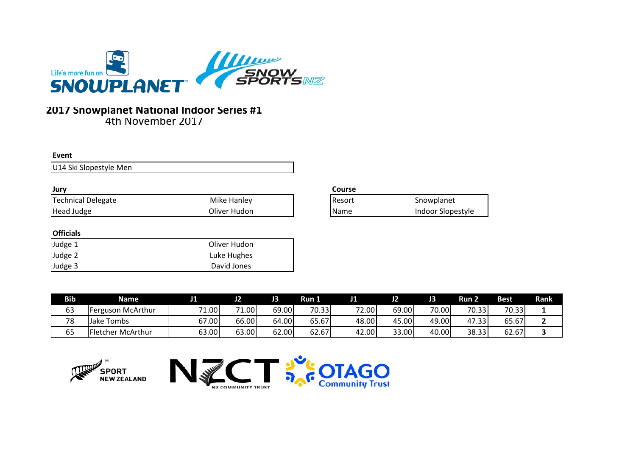

#### **Event**

U14 Ski Slopestyle Men

| Jury               |              |
|--------------------|--------------|
| Technical Delegate | Mike Hanley  |
| Head Judge         | Oliver Hudon |

## **Officials**

| Judge 1 | Oliver Hudon |
|---------|--------------|
| Judge 2 | Luke Hughes  |
| Judge 3 | David Jones  |

| Resort | Snowplanet        |
|--------|-------------------|
| Name   | Indoor Slopestyle |

| <b>Bib</b> | <b>Name</b>              |                         | J2                | JЗ    | Run 1 | JЛ    | J2    |       | Run 2         | <b>Best</b> | Rank |
|------------|--------------------------|-------------------------|-------------------|-------|-------|-------|-------|-------|---------------|-------------|------|
| 63         | Ferguson McArthur        | 74<br>1.00 <sup>1</sup> | 1.00 <sup>1</sup> | 69.00 | 70.33 | 72.00 | 69.00 | 70.00 | 70.33         | 70.33       |      |
| 78         | Jake<br><b>Tombs</b>     | ا00.7د                  | 66.00             | 64.00 | 65.67 | 48.00 | 45.00 | 49.00 | 47<br>ا 33. ، | 65.67       |      |
| 65         | <b>Fletcher McArthur</b> | 63.00                   | 63.00             | 62.00 | 62.67 | 42.00 | 33.00 | 40.00 | 38.33         | 62.67       |      |



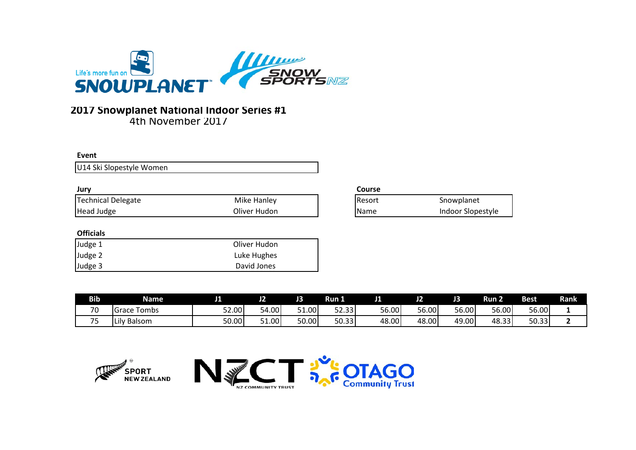

#### **Event**

U14 Ski Slopestyle Women

| Jury               |              | Cours |
|--------------------|--------------|-------|
| Technical Delegate | Mike Hanley  | Resor |
| <b>Head Judge</b>  | Oliver Hudon | Name  |
|                    |              |       |

## **Officials**

| Judge 1 | Oliver Hudon |
|---------|--------------|
| Judge 2 | Luke Hughes  |
| Judge 3 | David Jones  |

| Resort | Snowplanet        |
|--------|-------------------|
| Name   | Indoor Slopestyle |

| <b>Bib</b> | <b>Name</b>    | . .   | m<br>JZ    | . .        | Run I. | . .   | J2    | J3    | Run 2 | <b>Best</b> | Rank |
|------------|----------------|-------|------------|------------|--------|-------|-------|-------|-------|-------------|------|
| 70         | Tombs<br>Grace | 52.00 | 54.00      | ا1.00 $\,$ | 52.33  | 56.00 | 56.00 | 56.00 | 56.00 | 56.00       |      |
| $ -$<br>ັ  | Balsom<br>Lilv | 50.00 | ا1.00 $\,$ | 50.00      | 50.33  | 48.00 | 48.00 | 49.00 | 48.33 | 50.33       |      |



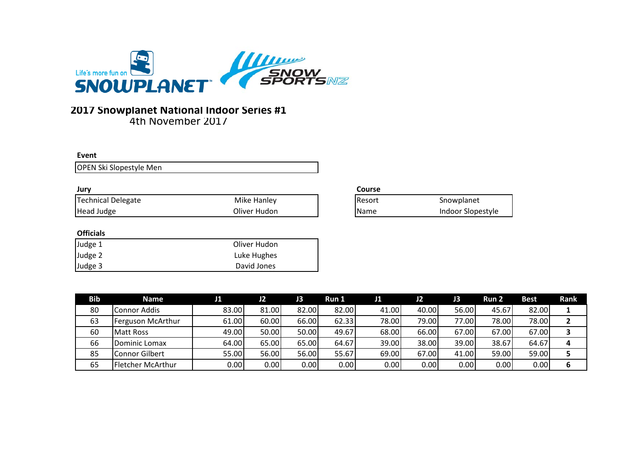

#### **Event**

OPEN Ski Slopestyle Men

#### **Jury**

| ----                      |              |       |
|---------------------------|--------------|-------|
| <b>Technical Delegate</b> | Mike Hanley  | Resor |
| Head Judge                | Oliver Hudon | Name  |

## **Officials**

| Judge 1 | Oliver Hudon |
|---------|--------------|
| Judge 2 | Luke Hughes  |
| Judge 3 | David Jones  |

| Resort | Snowplanet        |
|--------|-------------------|
| Name   | Indoor Slopestyle |

| Bib | Name              |       | J2    | J3    | Run 1 | J1    | J2    | JЗ    | <b>Run 2</b> | <b>Best</b> | Rank |
|-----|-------------------|-------|-------|-------|-------|-------|-------|-------|--------------|-------------|------|
| 80  | Connor Addis      | 83.00 | 81.00 | 82.00 | 82.00 | 41.00 | 40.00 | 56.00 | 45.67        | 82.00       |      |
| 63  | Ferguson McArthur | 61.00 | 60.00 | 66.00 | 62.33 | 78.00 | 79.00 | 77.00 | 78.00        | 78.00       |      |
| 60  | <b>Matt Ross</b>  | 49.00 | 50.00 | 50.00 | 49.67 | 68.00 | 66.00 | 67.00 | 67.00        | 67.00       |      |
| 66  | Dominic Lomax     | 64.00 | 65.00 | 65.00 | 64.67 | 39.00 | 38.00 | 39.00 | 38.67        | 64.67       |      |
| 85  | Connor Gilbert    | 55.00 | 56.00 | 56.00 | 55.67 | 69.00 | 67.00 | 41.00 | 59.00        | 59.00       |      |
| 65  | Fletcher McArthur | 0.00  | 0.00  | 0.00  | 0.00  | 0.00  | 0.00  | 0.00  | 0.00         | 0.00        |      |